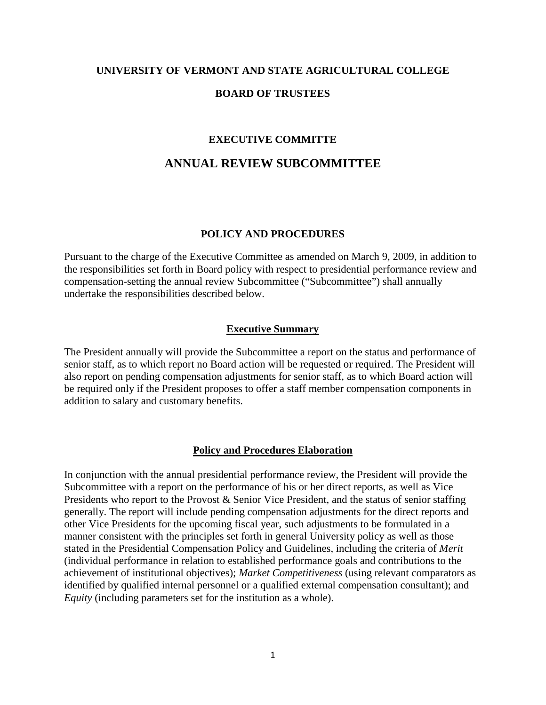# **UNIVERSITY OF VERMONT AND STATE AGRICULTURAL COLLEGE BOARD OF TRUSTEES**

### **EXECUTIVE COMMITTE**

## **ANNUAL REVIEW SUBCOMMITTEE**

#### **POLICY AND PROCEDURES**

Pursuant to the charge of the Executive Committee as amended on March 9, 2009, in addition to the responsibilities set forth in Board policy with respect to presidential performance review and compensation-setting the annual review Subcommittee ("Subcommittee") shall annually undertake the responsibilities described below.

#### **Executive Summary**

The President annually will provide the Subcommittee a report on the status and performance of senior staff, as to which report no Board action will be requested or required. The President will also report on pending compensation adjustments for senior staff, as to which Board action will be required only if the President proposes to offer a staff member compensation components in addition to salary and customary benefits.

#### **Policy and Procedures Elaboration**

In conjunction with the annual presidential performance review, the President will provide the Subcommittee with a report on the performance of his or her direct reports, as well as Vice Presidents who report to the Provost & Senior Vice President, and the status of senior staffing generally. The report will include pending compensation adjustments for the direct reports and other Vice Presidents for the upcoming fiscal year, such adjustments to be formulated in a manner consistent with the principles set forth in general University policy as well as those stated in the Presidential Compensation Policy and Guidelines, including the criteria of *Merit* (individual performance in relation to established performance goals and contributions to the achievement of institutional objectives); *Market Competitiveness* (using relevant comparators as identified by qualified internal personnel or a qualified external compensation consultant); and *Equity* (including parameters set for the institution as a whole).